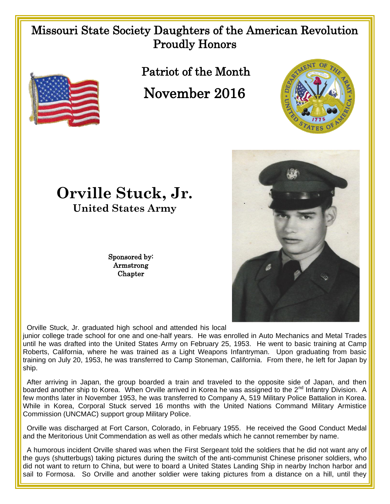## Missouri State Society Daughters of the American Revolution Proudly Honors



Patriot of the Month

November 2016





**Orville Stuck, Jr. United States Army**

> Sponsored by: Armstrong **Chapter**

Orville Stuck, Jr. graduated high school and attended his local

junior college trade school for one and one-half years. He was enrolled in Auto Mechanics and Metal Trades until he was drafted into the United States Army on February 25, 1953. He went to basic training at Camp Roberts, California, where he was trained as a Light Weapons Infantryman. Upon graduating from basic training on July 20, 1953, he was transferred to Camp Stoneman, California. From there, he left for Japan by ship.

 After arriving in Japan, the group boarded a train and traveled to the opposite side of Japan, and then boarded another ship to Korea. When Orville arrived in Korea he was assigned to the 2<sup>nd</sup> Infantry Division. A few months later in November 1953, he was transferred to Company A, 519 Military Police Battalion in Korea. While in Korea, Corporal Stuck served 16 months with the United Nations Command Military Armistice Commission (UNCMAC) support group Military Police.

 Orville was discharged at Fort Carson, Colorado, in February 1955. He received the Good Conduct Medal and the Meritorious Unit Commendation as well as other medals which he cannot remember by name.

 A humorous incident Orville shared was when the First Sergeant told the soldiers that he did not want any of the guys (shutterbugs) taking pictures during the switch of the anti-communist Chinese prisoner soldiers, who did not want to return to China, but were to board a United States Landing Ship in nearby Inchon harbor and sail to Formosa. So Orville and another soldier were taking pictures from a distance on a hill, until they